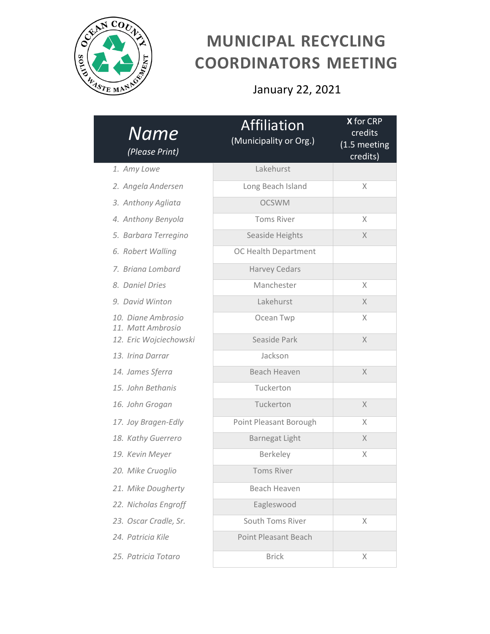

## **MUNICIPAL RECYCLING COORDINATORS MEETING**

January 22, 2021

| Name<br>(Please Print)                  | Affiliation<br>(Municipality or Org.) | X for CRP<br>credits<br>(1.5 meeting<br>credits) |
|-----------------------------------------|---------------------------------------|--------------------------------------------------|
| 1. Amy Lowe                             | Lakehurst                             |                                                  |
| 2. Angela Andersen                      | Long Beach Island                     | X                                                |
| 3. Anthony Agliata                      | <b>OCSWM</b>                          |                                                  |
| 4. Anthony Benyola                      | <b>Toms River</b>                     | X                                                |
| 5. Barbara Terregino                    | Seaside Heights                       | X                                                |
| 6. Robert Walling                       | OC Health Department                  |                                                  |
| 7. Briana Lombard                       | <b>Harvey Cedars</b>                  |                                                  |
| 8. Daniel Dries                         | Manchester                            | X                                                |
| 9. David Winton                         | Lakehurst                             | X                                                |
| 10. Diane Ambrosio<br>11. Matt Ambrosio | Ocean Twp                             | X                                                |
| 12. Eric Wojciechowski                  | Seaside Park                          | X                                                |
| 13. Irina Darrar                        | Jackson                               |                                                  |
| 14. James Sferra                        | Beach Heaven                          | X                                                |
| 15. John Bethanis                       | Tuckerton                             |                                                  |
| 16. John Grogan                         | Tuckerton                             | $\times$                                         |
| 17. Joy Bragen-Edly                     | Point Pleasant Borough                | X                                                |
| 18. Kathy Guerrero                      | <b>Barnegat Light</b>                 | X                                                |
| 19. Kevin Meyer                         | Berkeley                              | X                                                |
| 20. Mike Cruoglio                       | <b>Toms River</b>                     |                                                  |
| 21. Mike Dougherty                      | Beach Heaven                          |                                                  |
| 22. Nicholas Engroff                    | Eagleswood                            |                                                  |
| 23. Oscar Cradle, Sr.                   | South Toms River                      | X                                                |
| 24. Patricia Kile                       | <b>Point Pleasant Beach</b>           |                                                  |
| 25. Patricia Totaro                     | <b>Brick</b>                          | X                                                |